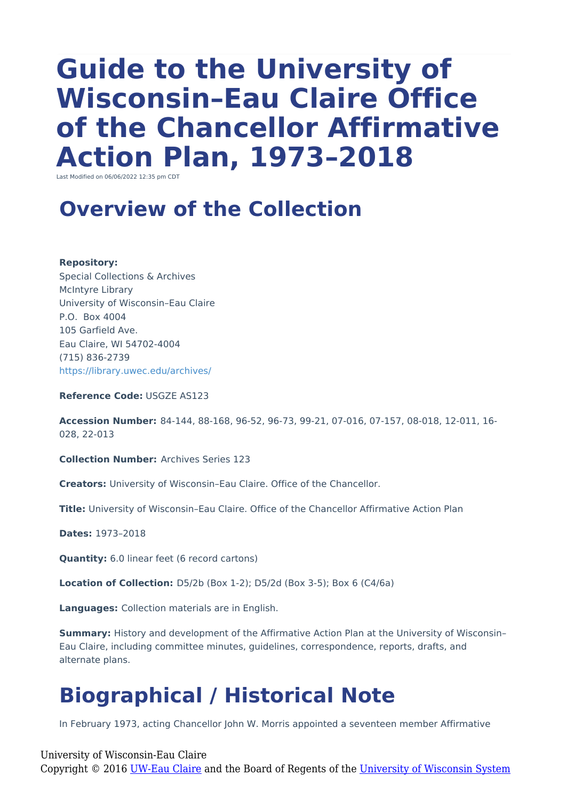# **Guide to the University of Wisconsin–Eau Claire Office of the Chancellor Affirmative Action Plan, 1973–2018**

Last Modified on 06/06/2022 12:35 pm CDT

#### **Overview of the Collection**

**Repository:**

Special Collections & Archives McIntyre Library University of Wisconsin–Eau Claire P.O. Box 4004 105 Garfield Ave. Eau Claire, WI 54702-4004 (715) 836-2739 <https://library.uwec.edu/archives/>

**Reference Code:** USGZE AS123

**Accession Number:** 84-144, 88-168, 96-52, 96-73, 99-21, 07-016, 07-157, 08-018, 12-011, 16- 028, 22-013

**Collection Number:** Archives Series 123

**Creators:** University of Wisconsin–Eau Claire. Office of the Chancellor.

**Title:** University of Wisconsin–Eau Claire. Office of the Chancellor Affirmative Action Plan

**Dates:** 1973–2018

**Quantity:** 6.0 linear feet (6 record cartons)

**Location of Collection:** D5/2b (Box 1-2); D5/2d (Box 3-5); Box 6 (C4/6a)

**Languages:** Collection materials are in English.

**Summary:** History and development of the Affirmative Action Plan at the University of Wisconsin– Eau Claire, including committee minutes, guidelines, correspondence, reports, drafts, and alternate plans.

### **Biographical / Historical Note**

In February 1973, acting Chancellor John W. Morris appointed a seventeen member Affirmative

University of Wisconsin-Eau Claire Copyright © 2016 [UW-Eau Claire](http://www.uwec.edu) and the Board of Regents of the [University of Wisconsin System](http://www.uwsa.edu/)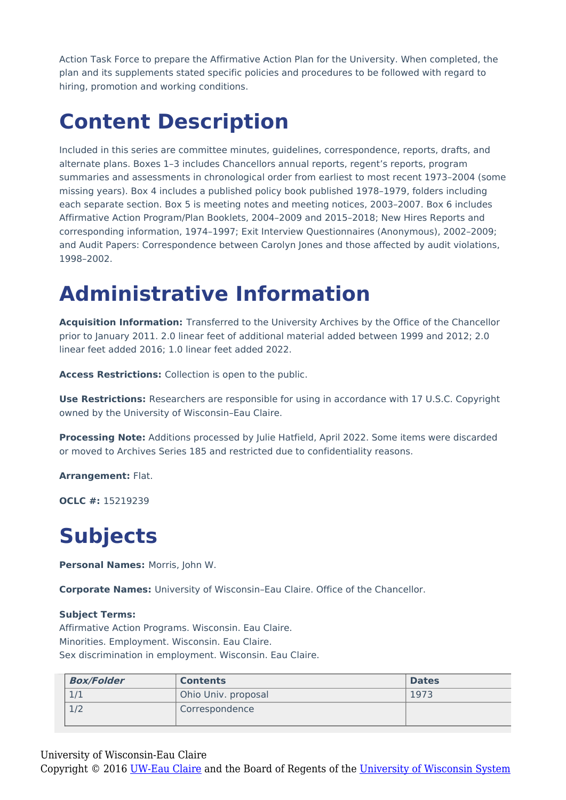Action Task Force to prepare the Affirmative Action Plan for the University. When completed, the plan and its supplements stated specific policies and procedures to be followed with regard to hiring, promotion and working conditions.

### **Content Description**

Included in this series are committee minutes, guidelines, correspondence, reports, drafts, and alternate plans. Boxes 1–3 includes Chancellors annual reports, regent's reports, program summaries and assessments in chronological order from earliest to most recent 1973–2004 (some missing years). Box 4 includes a published policy book published 1978–1979, folders including each separate section. Box 5 is meeting notes and meeting notices, 2003–2007. Box 6 includes Affirmative Action Program/Plan Booklets, 2004–2009 and 2015–2018; New Hires Reports and corresponding information, 1974–1997; Exit Interview Questionnaires (Anonymous), 2002–2009; and Audit Papers: Correspondence between Carolyn Jones and those affected by audit violations, 1998–2002.

### **Administrative Information**

**Acquisition Information:** Transferred to the University Archives by the Office of the Chancellor prior to January 2011. 2.0 linear feet of additional material added between 1999 and 2012; 2.0 linear feet added 2016; 1.0 linear feet added 2022.

**Access Restrictions:** Collection is open to the public.

**Use Restrictions:** Researchers are responsible for using in accordance with 17 U.S.C. Copyright owned by the University of Wisconsin–Eau Claire.

**Processing Note:** Additions processed by Julie Hatfield, April 2022. Some items were discarded or moved to Archives Series 185 and restricted due to confidentiality reasons.

**Arrangement:** Flat.

**OCLC #:** 15219239

## **Subjects**

**Personal Names:** Morris, John W.

**Corporate Names:** University of Wisconsin–Eau Claire. Office of the Chancellor.

#### **Subject Terms:**

Affirmative Action Programs. Wisconsin. Eau Claire. Minorities. Employment. Wisconsin. Eau Claire. Sex discrimination in employment. Wisconsin. Eau Claire.

| <b>Box/Folder</b> | <b>Contents</b>     | <b>Dates</b> |
|-------------------|---------------------|--------------|
| 7/1               | Ohio Univ. proposal | 1973         |
| 1/2               | Correspondence      |              |

University of Wisconsin-Eau Claire

Copyright © 2016 [UW-Eau Claire](http://www.uwec.edu) and the Board of Regents of the [University of Wisconsin System](http://www.uwsa.edu/)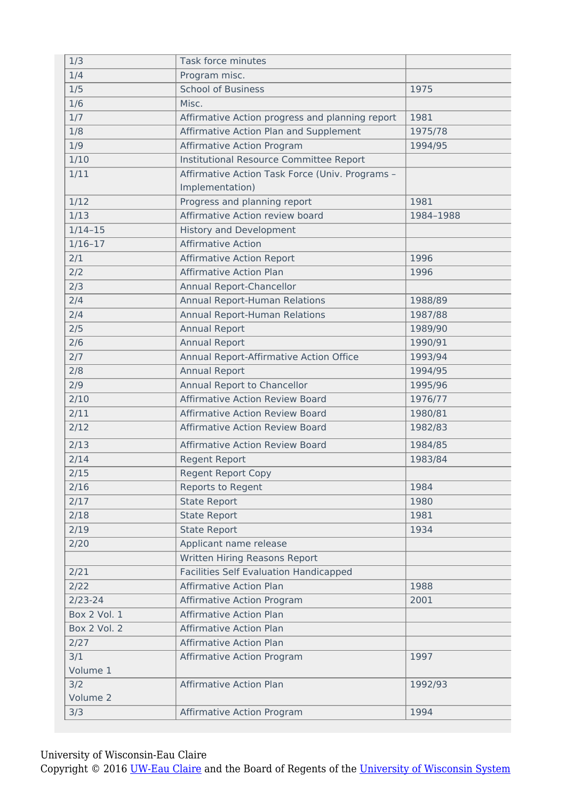| 1/3                 | Task force minutes                              |           |
|---------------------|-------------------------------------------------|-----------|
| 1/4                 | Program misc.                                   |           |
| 1/5                 | <b>School of Business</b>                       | 1975      |
| 1/6                 | Misc.                                           |           |
| 1/7                 | Affirmative Action progress and planning report | 1981      |
| 1/8                 | Affirmative Action Plan and Supplement          | 1975/78   |
| 1/9                 | <b>Affirmative Action Program</b>               | 1994/95   |
| 1/10                | Institutional Resource Committee Report         |           |
| 1/11                | Affirmative Action Task Force (Univ. Programs - |           |
|                     | Implementation)                                 |           |
| 1/12                | Progress and planning report                    | 1981      |
| 1/13                | Affirmative Action review board                 | 1984-1988 |
| $1/14-15$           | <b>History and Development</b>                  |           |
| $1/16 - 17$         | <b>Affirmative Action</b>                       |           |
| 2/1                 | <b>Affirmative Action Report</b>                | 1996      |
| 2/2                 | <b>Affirmative Action Plan</b>                  | 1996      |
| 2/3                 | Annual Report-Chancellor                        |           |
| 2/4                 | Annual Report-Human Relations                   | 1988/89   |
| 2/4                 | Annual Report-Human Relations                   | 1987/88   |
| 2/5                 | <b>Annual Report</b>                            | 1989/90   |
| 2/6                 | <b>Annual Report</b>                            | 1990/91   |
| 2/7                 | Annual Report-Affirmative Action Office         | 1993/94   |
| 2/8                 | <b>Annual Report</b>                            | 1994/95   |
| 2/9                 | Annual Report to Chancellor                     | 1995/96   |
| 2/10                | <b>Affirmative Action Review Board</b>          | 1976/77   |
| 2/11                | <b>Affirmative Action Review Board</b>          | 1980/81   |
| 2/12                | <b>Affirmative Action Review Board</b>          | 1982/83   |
| 2/13                | <b>Affirmative Action Review Board</b>          | 1984/85   |
| 2/14                | <b>Regent Report</b>                            | 1983/84   |
| 2/15                | <b>Regent Report Copy</b>                       |           |
| 2/16                | Reports to Regent                               | 1984      |
| 2/17                | <b>State Report</b>                             | 1980      |
| 2/18                | <b>State Report</b>                             | 1981      |
| 2/19                | <b>State Report</b>                             | 1934      |
| 2/20                | Applicant name release                          |           |
|                     | Written Hiring Reasons Report                   |           |
| 2/21                | <b>Facilities Self Evaluation Handicapped</b>   |           |
| 2/22                | <b>Affirmative Action Plan</b>                  | 1988      |
| $2/23 - 24$         | Affirmative Action Program                      | 2001      |
| <b>Box 2 Vol. 1</b> | <b>Affirmative Action Plan</b>                  |           |
| Box 2 Vol. 2        | <b>Affirmative Action Plan</b>                  |           |
| 2/27                | <b>Affirmative Action Plan</b>                  |           |
| 3/1                 | <b>Affirmative Action Program</b>               | 1997      |
| Volume 1            |                                                 |           |
| 3/2                 | <b>Affirmative Action Plan</b>                  | 1992/93   |
| Volume 2            |                                                 |           |
| 3/3                 | Affirmative Action Program                      | 1994      |

University of Wisconsin-Eau Claire

Copyright © 2016 <u>UW-Eau Claire</u> and the Board of Regents of the <u>University of Wisconsin System</u>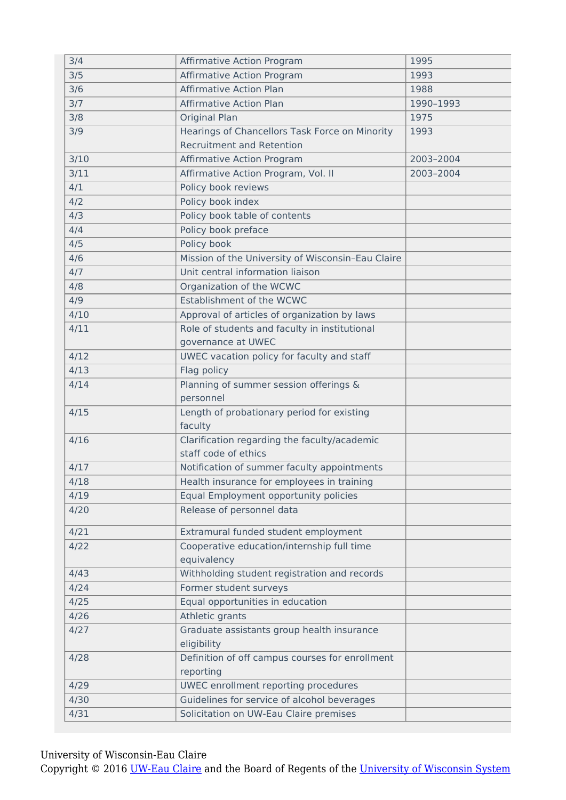| 3/4  | <b>Affirmative Action Program</b>                         | 1995      |
|------|-----------------------------------------------------------|-----------|
| 3/5  | Affirmative Action Program                                | 1993      |
| 3/6  | <b>Affirmative Action Plan</b>                            | 1988      |
| 3/7  | <b>Affirmative Action Plan</b>                            | 1990-1993 |
| 3/8  | Original Plan                                             | 1975      |
| 3/9  | Hearings of Chancellors Task Force on Minority            | 1993      |
|      | <b>Recruitment and Retention</b>                          |           |
| 3/10 | <b>Affirmative Action Program</b>                         | 2003-2004 |
| 3/11 | Affirmative Action Program, Vol. II                       | 2003-2004 |
| 4/1  | Policy book reviews                                       |           |
| 4/2  | Policy book index                                         |           |
| 4/3  | Policy book table of contents                             |           |
| 4/4  | Policy book preface                                       |           |
| 4/5  | Policy book                                               |           |
| 4/6  | Mission of the University of Wisconsin-Eau Claire         |           |
| 4/7  | Unit central information liaison                          |           |
| 4/8  | Organization of the WCWC                                  |           |
| 4/9  | Establishment of the WCWC                                 |           |
| 4/10 | Approval of articles of organization by laws              |           |
| 4/11 | Role of students and faculty in institutional             |           |
|      | governance at UWEC                                        |           |
| 4/12 | UWEC vacation policy for faculty and staff                |           |
| 4/13 | Flag policy                                               |           |
| 4/14 | Planning of summer session offerings &                    |           |
|      | personnel                                                 |           |
| 4/15 | Length of probationary period for existing                |           |
|      | faculty                                                   |           |
| 4/16 | Clarification regarding the faculty/academic              |           |
|      | staff code of ethics                                      |           |
| 4/17 | Notification of summer faculty appointments               |           |
| 4/18 | Health insurance for employees in training                |           |
| 4/19 | Equal Employment opportunity policies                     |           |
| 4/20 | Release of personnel data                                 |           |
| 4/21 | Extramural funded student employment                      |           |
| 4/22 | Cooperative education/internship full time                |           |
|      | equivalency                                               |           |
| 4/43 | Withholding student registration and records              |           |
| 4/24 | Former student surveys                                    |           |
| 4/25 | Equal opportunities in education                          |           |
| 4/26 | Athletic grants                                           |           |
| 4/27 | Graduate assistants group health insurance<br>eligibility |           |
| 4/28 | Definition of off campus courses for enrollment           |           |
|      | reporting                                                 |           |
| 4/29 | UWEC enrollment reporting procedures                      |           |
| 4/30 | Guidelines for service of alcohol beverages               |           |
| 4/31 | Solicitation on UW-Eau Claire premises                    |           |

University of Wisconsin-Eau Claire

Copyright © 2016 [UW-Eau Claire](http://www.uwec.edu) and the Board of Regents of the [University of Wisconsin System](http://www.uwsa.edu/)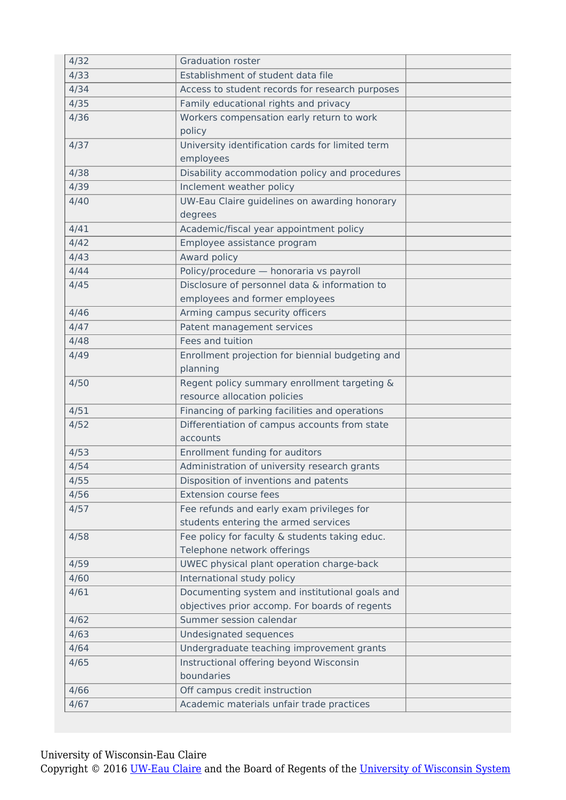| 4/32 | <b>Graduation roster</b>                         |  |
|------|--------------------------------------------------|--|
| 4/33 | Establishment of student data file               |  |
| 4/34 | Access to student records for research purposes  |  |
| 4/35 | Family educational rights and privacy            |  |
| 4/36 | Workers compensation early return to work        |  |
|      | policy                                           |  |
| 4/37 | University identification cards for limited term |  |
|      | employees                                        |  |
| 4/38 | Disability accommodation policy and procedures   |  |
| 4/39 | Inclement weather policy                         |  |
| 4/40 | UW-Eau Claire guidelines on awarding honorary    |  |
|      | degrees                                          |  |
| 4/41 | Academic/fiscal year appointment policy          |  |
| 4/42 | Employee assistance program                      |  |
| 4/43 | Award policy                                     |  |
| 4/44 | Policy/procedure - honoraria vs payroll          |  |
| 4/45 | Disclosure of personnel data & information to    |  |
|      | employees and former employees                   |  |
| 4/46 | Arming campus security officers                  |  |
| 4/47 | Patent management services                       |  |
| 4/48 | Fees and tuition                                 |  |
| 4/49 | Enrollment projection for biennial budgeting and |  |
|      | planning                                         |  |
| 4/50 | Regent policy summary enrollment targeting &     |  |
|      | resource allocation policies                     |  |
| 4/51 | Financing of parking facilities and operations   |  |
| 4/52 | Differentiation of campus accounts from state    |  |
|      | accounts                                         |  |
| 4/53 | Enrollment funding for auditors                  |  |
| 4/54 | Administration of university research grants     |  |
| 4/55 | Disposition of inventions and patents            |  |
| 4/56 | <b>Extension course fees</b>                     |  |
| 4/57 | Fee refunds and early exam privileges for        |  |
|      | students entering the armed services             |  |
| 4/58 | Fee policy for faculty & students taking educ.   |  |
|      | Telephone network offerings                      |  |
| 4/59 | UWEC physical plant operation charge-back        |  |
| 4/60 | International study policy                       |  |
| 4/61 | Documenting system and institutional goals and   |  |
|      | objectives prior accomp. For boards of regents   |  |
| 4/62 | Summer session calendar                          |  |
| 4/63 | Undesignated sequences                           |  |
| 4/64 | Undergraduate teaching improvement grants        |  |
| 4/65 | Instructional offering beyond Wisconsin          |  |
|      | boundaries                                       |  |
| 4/66 | Off campus credit instruction                    |  |
| 4/67 | Academic materials unfair trade practices        |  |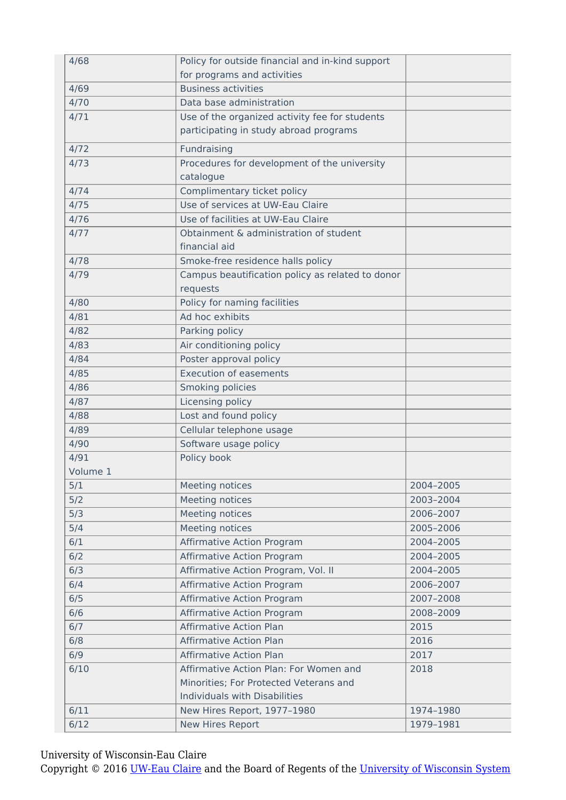| 4/68     | Policy for outside financial and in-kind support |           |
|----------|--------------------------------------------------|-----------|
|          | for programs and activities                      |           |
| 4/69     | <b>Business activities</b>                       |           |
| 4/70     | Data base administration                         |           |
| 4/71     | Use of the organized activity fee for students   |           |
|          | participating in study abroad programs           |           |
| 4/72     | Fundraising                                      |           |
| 4/73     | Procedures for development of the university     |           |
|          | catalogue                                        |           |
| 4/74     | Complimentary ticket policy                      |           |
| 4/75     | Use of services at UW-Eau Claire                 |           |
| 4/76     | Use of facilities at UW-Eau Claire               |           |
| 4/77     | Obtainment & administration of student           |           |
|          | financial aid                                    |           |
| 4/78     | Smoke-free residence halls policy                |           |
| 4/79     | Campus beautification policy as related to donor |           |
|          | requests                                         |           |
| 4/80     | Policy for naming facilities                     |           |
| 4/81     | Ad hoc exhibits                                  |           |
| 4/82     | Parking policy                                   |           |
| 4/83     | Air conditioning policy                          |           |
| 4/84     | Poster approval policy                           |           |
| 4/85     | <b>Execution of easements</b>                    |           |
| 4/86     | Smoking policies                                 |           |
| 4/87     | Licensing policy                                 |           |
| 4/88     | Lost and found policy                            |           |
| 4/89     | Cellular telephone usage                         |           |
| 4/90     | Software usage policy                            |           |
| 4/91     | Policy book                                      |           |
| Volume 1 |                                                  |           |
| 5/1      | Meeting notices                                  | 2004-2005 |
| 5/2      | Meeting notices                                  | 2003-2004 |
| 5/3      | Meeting notices                                  | 2006-2007 |
| 5/4      | Meeting notices                                  | 2005-2006 |
| 6/1      | Affirmative Action Program                       | 2004-2005 |
| 6/2      | Affirmative Action Program                       | 2004-2005 |
| 6/3      | Affirmative Action Program, Vol. II              | 2004-2005 |
| 6/4      | Affirmative Action Program                       | 2006-2007 |
| 6/5      | Affirmative Action Program                       | 2007-2008 |
| 6/6      | Affirmative Action Program                       | 2008-2009 |
| 6/7      | <b>Affirmative Action Plan</b>                   | 2015      |
| 6/8      | <b>Affirmative Action Plan</b>                   | 2016      |
| 6/9      | <b>Affirmative Action Plan</b>                   | 2017      |
| 6/10     | Affirmative Action Plan: For Women and           | 2018      |
|          | Minorities; For Protected Veterans and           |           |
|          | Individuals with Disabilities                    |           |
| 6/11     | New Hires Report, 1977-1980                      | 1974-1980 |
| $6/12$   | New Hires Report                                 | 1979-1981 |
|          |                                                  |           |

University of Wisconsin-Eau Claire

Copyright © 2016 [UW-Eau Claire](http://www.uwec.edu) and the Board of Regents of the [University of Wisconsin System](http://www.uwsa.edu/)